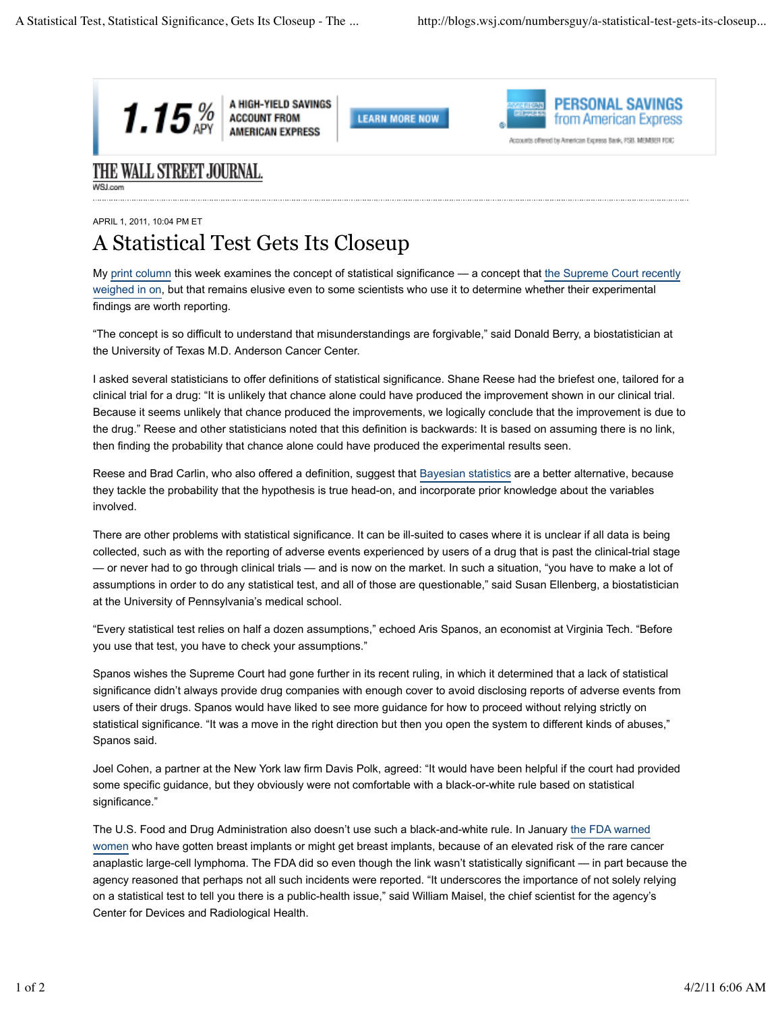





Accounts offered by American Express Bank, FSB. MEMBER FDIC

## THE WALL STREET JOURNAL.

## APRIL 1, 2011, 10:04 PM ET A Statistical Test Gets Its Closeup

My print column this week examines the concept of statistical significance — a concept that the Supreme Court recently weighed in on, but that remains elusive even to some scientists who use it to determine whether their experimental findings are worth reporting.

"The concept is so difficult to understand that misunderstandings are forgivable," said Donald Berry, a biostatistician at the University of Texas M.D. Anderson Cancer Center.

I asked several statisticians to offer definitions of statistical significance. Shane Reese had the briefest one, tailored for a clinical trial for a drug: "It is unlikely that chance alone could have produced the improvement shown in our clinical trial. Because it seems unlikely that chance produced the improvements, we logically conclude that the improvement is due to the drug." Reese and other statisticians noted that this definition is backwards: It is based on assuming there is no link, then finding the probability that chance alone could have produced the experimental results seen.

Reese and Brad Carlin, who also offered a definition, suggest that Bayesian statistics are a better alternative, because they tackle the probability that the hypothesis is true head-on, and incorporate prior knowledge about the variables involved.

There are other problems with statistical significance. It can be ill-suited to cases where it is unclear if all data is being collected, such as with the reporting of adverse events experienced by users of a drug that is past the clinical-trial stage — or never had to go through clinical trials — and is now on the market. In such a situation, "you have to make a lot of assumptions in order to do any statistical test, and all of those are questionable," said Susan Ellenberg, a biostatistician at the University of Pennsylvania's medical school.

"Every statistical test relies on half a dozen assumptions," echoed Aris Spanos, an economist at Virginia Tech. "Before you use that test, you have to check your assumptions."

Spanos wishes the Supreme Court had gone further in its recent ruling, in which it determined that a lack of statistical significance didn't always provide drug companies with enough cover to avoid disclosing reports of adverse events from users of their drugs. Spanos would have liked to see more guidance for how to proceed without relying strictly on statistical significance. "It was a move in the right direction but then you open the system to different kinds of abuses," Spanos said.

Joel Cohen, a partner at the New York law firm Davis Polk, agreed: "It would have been helpful if the court had provided some specific guidance, but they obviously were not comfortable with a black-or-white rule based on statistical significance."

The U.S. Food and Drug Administration also doesn't use such a black-and-white rule. In January the FDA warned women who have gotten breast implants or might get breast implants, because of an elevated risk of the rare cancer anaplastic large-cell lymphoma. The FDA did so even though the link wasn't statistically significant — in part because the agency reasoned that perhaps not all such incidents were reported. "It underscores the importance of not solely relying on a statistical test to tell you there is a public-health issue," said William Maisel, the chief scientist for the agency's Center for Devices and Radiological Health.